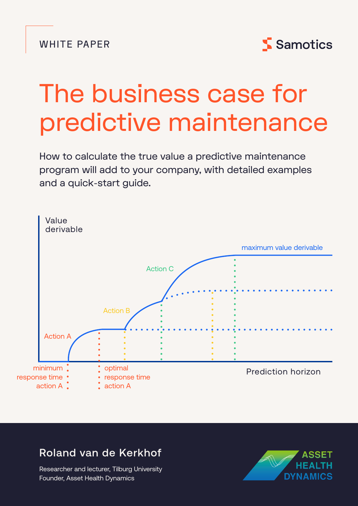

# The business case for predictive maintenance

How to calculate the true value a predictive maintenance program will add to your company, with detailed examples and a quick-start guide.



## Roland van de Kerkhof

Researcher and lecturer, Tilburg University Founder, Asset Health Dynamics

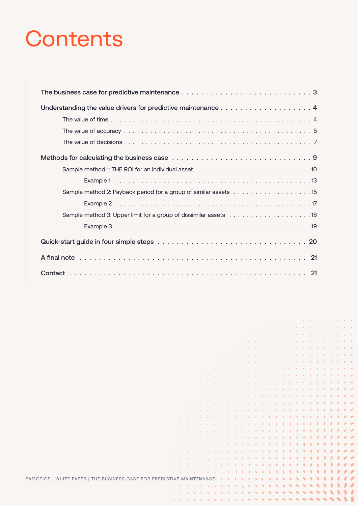# **Contents**

| Understanding the value drivers for predictive maintenance $\ldots \ldots \ldots \ldots \ldots \ldots$ |
|--------------------------------------------------------------------------------------------------------|
|                                                                                                        |
|                                                                                                        |
|                                                                                                        |
|                                                                                                        |
|                                                                                                        |
|                                                                                                        |
|                                                                                                        |
|                                                                                                        |
|                                                                                                        |
|                                                                                                        |
|                                                                                                        |
|                                                                                                        |
|                                                                                                        |

|  |  |  |  |  |   |  |         |                                                                                                                                                                                                                                |  |                                                                                                                                                                                                                                |                                                                                                                                                                                                                                    |  | the contract of the state of the contract of the state                                                                                                                                                                                                                                                                                                                                                                                                                |  |
|--|--|--|--|--|---|--|---------|--------------------------------------------------------------------------------------------------------------------------------------------------------------------------------------------------------------------------------|--|--------------------------------------------------------------------------------------------------------------------------------------------------------------------------------------------------------------------------------|------------------------------------------------------------------------------------------------------------------------------------------------------------------------------------------------------------------------------------|--|-----------------------------------------------------------------------------------------------------------------------------------------------------------------------------------------------------------------------------------------------------------------------------------------------------------------------------------------------------------------------------------------------------------------------------------------------------------------------|--|
|  |  |  |  |  |   |  |         |                                                                                                                                                                                                                                |  |                                                                                                                                                                                                                                |                                                                                                                                                                                                                                    |  | particularly services and services of the first state of the R                                                                                                                                                                                                                                                                                                                                                                                                        |  |
|  |  |  |  |  |   |  |         |                                                                                                                                                                                                                                |  |                                                                                                                                                                                                                                |                                                                                                                                                                                                                                    |  | the contract of the contract of the contract of the contract of the contract of the contract of                                                                                                                                                                                                                                                                                                                                                                       |  |
|  |  |  |  |  |   |  |         |                                                                                                                                                                                                                                |  |                                                                                                                                                                                                                                |                                                                                                                                                                                                                                    |  | $\mathcal{L} = \mathcal{L} \times \mathcal{L} = \mathcal{L} \times \mathcal{L} = \mathcal{L} \times \mathcal{L} = \mathcal{L} \times \mathcal{L} = \mathcal{L} \times \mathcal{L} = \mathcal{L} \times \mathcal{L} = \mathcal{L} \times \mathcal{L} = \mathcal{L} \times \mathcal{L} = \mathcal{L} \times \mathcal{L} = \mathcal{L}$                                                                                                                                  |  |
|  |  |  |  |  |   |  |         |                                                                                                                                                                                                                                |  |                                                                                                                                                                                                                                |                                                                                                                                                                                                                                    |  | $\mathcal{L}^{\mathcal{A}}(\mathcal{A})=\mathcal{L}^{\mathcal{A}}(\mathcal{A})=\mathcal{L}^{\mathcal{A}}(\mathcal{A})=\mathcal{L}^{\mathcal{A}}(\mathcal{A})=\mathcal{L}^{\mathcal{A}}(\mathcal{A})=\mathcal{L}^{\mathcal{A}}(\mathcal{A})=\mathcal{L}^{\mathcal{A}}(\mathcal{A})=\mathcal{L}^{\mathcal{A}}(\mathcal{A})=\mathcal{L}^{\mathcal{A}}(\mathcal{A})=\mathcal{L}^{\mathcal{A}}(\mathcal{A})=\mathcal{L}^{\mathcal{A}}(\mathcal{A})=\mathcal{L}^{\mathcal{$ |  |
|  |  |  |  |  |   |  |         |                                                                                                                                                                                                                                |  |                                                                                                                                                                                                                                |                                                                                                                                                                                                                                    |  | and a series of the series of the series of the series of the series of the series of the series of the series of the series of the series of the series of the series of the series of the series of the series of the series                                                                                                                                                                                                                                        |  |
|  |  |  |  |  |   |  |         |                                                                                                                                                                                                                                |  |                                                                                                                                                                                                                                |                                                                                                                                                                                                                                    |  | アンティーティング ファンディア アール・トール・トール しんしんしん しんしんしんしん                                                                                                                                                                                                                                                                                                                                                                                                                          |  |
|  |  |  |  |  |   |  |         |                                                                                                                                                                                                                                |  |                                                                                                                                                                                                                                | and a series of the control of the control of the control of the control of the control of the control of the control of the control of the control of the control of the control of the control of the control of the control     |  |                                                                                                                                                                                                                                                                                                                                                                                                                                                                       |  |
|  |  |  |  |  |   |  |         |                                                                                                                                                                                                                                |  |                                                                                                                                                                                                                                | and a series of the control of the control of the South Andrew Street and Andrew Street and                                                                                                                                        |  |                                                                                                                                                                                                                                                                                                                                                                                                                                                                       |  |
|  |  |  |  |  |   |  |         |                                                                                                                                                                                                                                |  |                                                                                                                                                                                                                                | and provided a series of the control of the series of the Control of the European Association of the control of                                                                                                                    |  |                                                                                                                                                                                                                                                                                                                                                                                                                                                                       |  |
|  |  |  |  |  |   |  |         |                                                                                                                                                                                                                                |  | and a second contract of the contract of the contract of the contract of the contract of the contract of the contract of the contract of the contract of the contract of the contract of the contract of the contract of the c |                                                                                                                                                                                                                                    |  |                                                                                                                                                                                                                                                                                                                                                                                                                                                                       |  |
|  |  |  |  |  |   |  |         |                                                                                                                                                                                                                                |  |                                                                                                                                                                                                                                |                                                                                                                                                                                                                                    |  |                                                                                                                                                                                                                                                                                                                                                                                                                                                                       |  |
|  |  |  |  |  |   |  |         |                                                                                                                                                                                                                                |  |                                                                                                                                                                                                                                | and a set of the contract of the contract of the contract of the contract of $\mathcal{A}$ . As we can also the contract of the contract of the contract of the contract of the contract of the contract of the contract of the co |  |                                                                                                                                                                                                                                                                                                                                                                                                                                                                       |  |
|  |  |  |  |  |   |  |         |                                                                                                                                                                                                                                |  |                                                                                                                                                                                                                                | and a series of the control of the control of the control of the control of the control of the control of the control of the control of the control of the control of the control of the control of the control of the control     |  |                                                                                                                                                                                                                                                                                                                                                                                                                                                                       |  |
|  |  |  |  |  |   |  |         |                                                                                                                                                                                                                                |  |                                                                                                                                                                                                                                | and a series of the control of the control of the control of the control of the control of the control of the control of the control of the control of the control of the control of the control of the control of the control     |  |                                                                                                                                                                                                                                                                                                                                                                                                                                                                       |  |
|  |  |  |  |  |   |  |         |                                                                                                                                                                                                                                |  | and a series of the contract of the contract of the Contract of the Contract of the Contract of the Contract of                                                                                                                |                                                                                                                                                                                                                                    |  |                                                                                                                                                                                                                                                                                                                                                                                                                                                                       |  |
|  |  |  |  |  |   |  |         | the second contract of the contract of the second contract of the first second contract of the second contract of the second contract of the second contract of the second contract of the second contract of the second contr |  |                                                                                                                                                                                                                                |                                                                                                                                                                                                                                    |  |                                                                                                                                                                                                                                                                                                                                                                                                                                                                       |  |
|  |  |  |  |  |   |  |         | . <i>.</i> . 1 1 1 1                                                                                                                                                                                                           |  |                                                                                                                                                                                                                                |                                                                                                                                                                                                                                    |  |                                                                                                                                                                                                                                                                                                                                                                                                                                                                       |  |
|  |  |  |  |  |   |  |         |                                                                                                                                                                                                                                |  |                                                                                                                                                                                                                                |                                                                                                                                                                                                                                    |  |                                                                                                                                                                                                                                                                                                                                                                                                                                                                       |  |
|  |  |  |  |  |   |  |         | $\mathcal{A}=\mathcal{A}=\mathcal{A}=\mathcal{A}=\mathcal{A}=\mathcal{A}=\mathcal{A}=\mathcal{A}=\mathcal{A}=\mathcal{A}=\mathcal{A}=\mathcal{A}=\mathcal{A}=\mathcal{B}=\mathcal{B}=\mathcal{B}.$                             |  |                                                                                                                                                                                                                                |                                                                                                                                                                                                                                    |  |                                                                                                                                                                                                                                                                                                                                                                                                                                                                       |  |
|  |  |  |  |  |   |  | . 1 1 1 |                                                                                                                                                                                                                                |  |                                                                                                                                                                                                                                |                                                                                                                                                                                                                                    |  |                                                                                                                                                                                                                                                                                                                                                                                                                                                                       |  |
|  |  |  |  |  |   |  |         | . <i>.</i> . <i>.</i>                                                                                                                                                                                                          |  |                                                                                                                                                                                                                                |                                                                                                                                                                                                                                    |  |                                                                                                                                                                                                                                                                                                                                                                                                                                                                       |  |
|  |  |  |  |  |   |  |         |                                                                                                                                                                                                                                |  |                                                                                                                                                                                                                                |                                                                                                                                                                                                                                    |  |                                                                                                                                                                                                                                                                                                                                                                                                                                                                       |  |
|  |  |  |  |  |   |  |         |                                                                                                                                                                                                                                |  |                                                                                                                                                                                                                                |                                                                                                                                                                                                                                    |  |                                                                                                                                                                                                                                                                                                                                                                                                                                                                       |  |
|  |  |  |  |  |   |  |         |                                                                                                                                                                                                                                |  |                                                                                                                                                                                                                                |                                                                                                                                                                                                                                    |  |                                                                                                                                                                                                                                                                                                                                                                                                                                                                       |  |
|  |  |  |  |  |   |  |         |                                                                                                                                                                                                                                |  |                                                                                                                                                                                                                                |                                                                                                                                                                                                                                    |  |                                                                                                                                                                                                                                                                                                                                                                                                                                                                       |  |
|  |  |  |  |  |   |  | .       |                                                                                                                                                                                                                                |  |                                                                                                                                                                                                                                |                                                                                                                                                                                                                                    |  |                                                                                                                                                                                                                                                                                                                                                                                                                                                                       |  |
|  |  |  |  |  | . |  |         |                                                                                                                                                                                                                                |  |                                                                                                                                                                                                                                |                                                                                                                                                                                                                                    |  |                                                                                                                                                                                                                                                                                                                                                                                                                                                                       |  |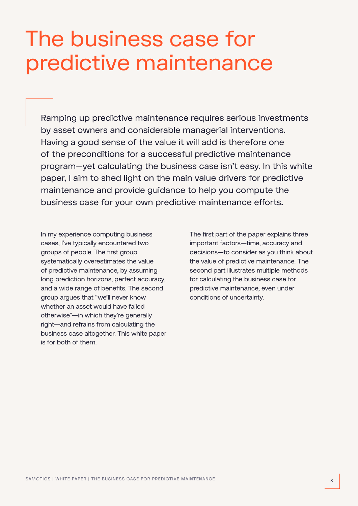# The business case for predictive maintenance

Ramping up predictive maintenance requires serious investments by asset owners and considerable managerial interventions. Having a good sense of the value it will add is therefore one of the preconditions for a successful predictive maintenance program—yet calculating the business case isn't easy. In this white paper, I aim to shed light on the main value drivers for predictive maintenance and provide guidance to help you compute the business case for your own predictive maintenance efforts.

In my experience computing business cases, I've typically encountered two groups of people. The first group systematically overestimates the value of predictive maintenance, by assuming long prediction horizons, perfect accuracy, and a wide range of benefits. The second group argues that "we'll never know whether an asset would have failed otherwise"—in which they're generally right—and refrains from calculating the business case altogether. This white paper is for both of them.

The first part of the paper explains three important factors—time, accuracy and decisions—to consider as you think about the value of predictive maintenance. The second part illustrates multiple methods for calculating the business case for predictive maintenance, even under conditions of uncertainty.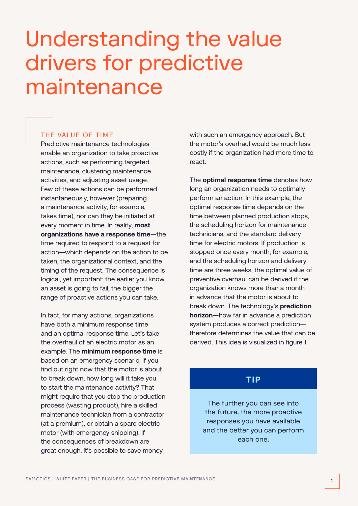# Understanding the value drivers for predictive maintenance

#### THE VALUE OF TIME

Predictive maintenance technologies enable an organization to take proactive actions, such as performing targeted maintenance, clustering maintenance activities, and adjusting asset usage. Few of these actions can be performed instantaneously, however (preparing a maintenance activity, for example, takes time), nor can they be initiated at every moment in time. In reality, **most organizations have a response time**—the time required to respond to a request for action—which depends on the action to be taken, the organizational context, and the timing of the request. The consequence is logical, yet important: the earlier you know an asset is going to fail, the bigger the range of proactive actions you can take.

In fact, for many actions, organizations have both a minimum response time and an optimal response time. Let's take the overhaul of an electric motor as an example. The **minimum response time** is based on an emergency scenario. If you find out right now that the motor is about to break down, how long will it take you to start the maintenance activity? That might require that you stop the production process (wasting product), hire a skilled maintenance technician from a contractor (at a premium), or obtain a spare electric motor (with emergency shipping). If the consequences of breakdown are great enough, it's possible to save money

with such an emergency approach. But the motor's overhaul would be much less costly if the organization had more time to react.

The **optimal response time** denotes how long an organization needs to optimally perform an action. In this example, the optimal response time depends on the time between planned production stops, the scheduling horizon for maintenance technicians, and the standard delivery time for electric motors. If production is stopped once every month, for example, and the scheduling horizon and delivery time are three weeks, the optimal value of preventive overhaul can be derived if the organization knows more than a month in advance that the motor is about to break down. The technology's **prediction horizon**—how far in advance a prediction system produces a correct prediction therefore determines the value that can be derived. This idea is visualized in figure 1.

## **TIP**

The further you can see into the future, the more proactive responses you have available and the better you can perform each one.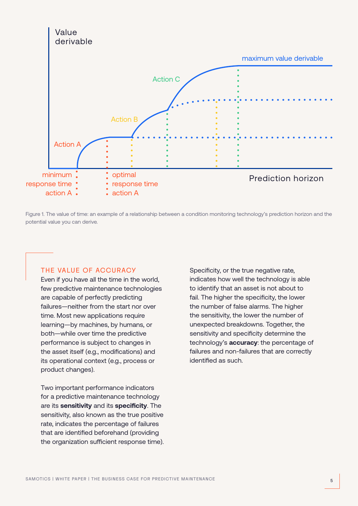

Figure 1. The value of time: an example of a relationship between a condition monitoring technology's prediction horizon and the potential value you can derive.

#### THE VALUE OF ACCURACY

Even if you have all the time in the world, few predictive maintenance technologies are capable of perfectly predicting failures—neither from the start nor over time. Most new applications require learning—by machines, by humans, or both—while over time the predictive performance is subject to changes in the asset itself (e.g., modifications) and its operational context (e.g., process or product changes).

Two important performance indicators for a predictive maintenance technology are its **sensitivity** and its **specificity**. The sensitivity, also known as the true positive rate, indicates the percentage of failures that are identified beforehand (providing the organization sufficient response time). Specificity, or the true negative rate, indicates how well the technology is able to identify that an asset is not about to fail. The higher the specificity, the lower the number of false alarms. The higher the sensitivity, the lower the number of unexpected breakdowns. Together, the sensitivity and specificity determine the technology's **accuracy**: the percentage of failures and non-failures that are correctly identified as such.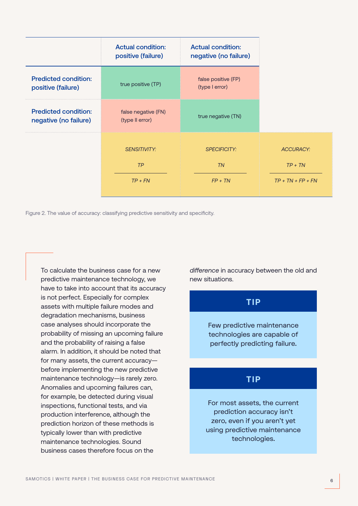|                                                      | <b>Actual condition:</b><br>positive (failure) | <b>Actual condition:</b><br>negative (no failure) |                               |
|------------------------------------------------------|------------------------------------------------|---------------------------------------------------|-------------------------------|
| <b>Predicted condition:</b><br>positive (failure)    | true positive (TP)                             | false positive (FP)<br>(type I error)             |                               |
| <b>Predicted condition:</b><br>negative (no failure) | false negative (FN)<br>(type II error)         | true negative (TN)                                |                               |
|                                                      | <b>SENSITIVITY:</b><br>TP                      | <b>SPECIFICITY:</b><br><b>TN</b>                  | <b>ACCURACY:</b><br>$TP + TN$ |
|                                                      | $TP + FN$                                      | $FP + TN$                                         | $TP + TN + FP + FN$           |

Figure 2. The value of accuracy: classifying predictive sensitivity and specificity.

To calculate the business case for a new predictive maintenance technology, we have to take into account that its accuracy is not perfect. Especially for complex assets with multiple failure modes and degradation mechanisms, business case analyses should incorporate the probability of missing an upcoming failure and the probability of raising a false alarm. In addition, it should be noted that for many assets, the current accuracy before implementing the new predictive maintenance technology—is rarely zero. Anomalies and upcoming failures can, for example, be detected during visual inspections, functional tests, and via production interference, although the prediction horizon of these methods is typically lower than with predictive maintenance technologies. Sound business cases therefore focus on the

*difference* in accuracy between the old and new situations.

### **TIP**

Few predictive maintenance technologies are capable of perfectly predicting failure.

### **TIP**

For most assets, the current prediction accuracy isn't zero, even if you aren't yet using predictive maintenance technologies.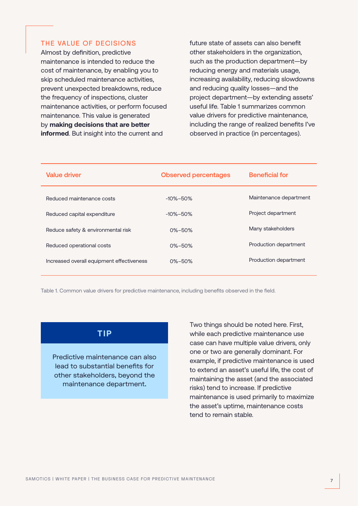#### THE VALUE OF DECISIONS

Almost by definition, predictive maintenance is intended to reduce the cost of maintenance, by enabling you to skip scheduled maintenance activities, prevent unexpected breakdowns, reduce the frequency of inspections, cluster maintenance activities, or perform focused maintenance. This value is generated by **making decisions that are better informed**. But insight into the current and

future state of assets can also benefit other stakeholders in the organization, such as the production department—by reducing energy and materials usage, increasing availability, reducing slowdowns and reducing quality losses—and the project department—by extending assets' useful life. Table 1 summarizes common value drivers for predictive maintenance, including the range of realized benefits I've observed in practice (in percentages).

| <b>Value driver</b>                       | <b>Observed percentages</b> | <b>Beneficial for</b>  |
|-------------------------------------------|-----------------------------|------------------------|
| Reduced maintenance costs                 | $-10\% - 50\%$              | Maintenance department |
| Reduced capital expenditure               | $-10\% - 50\%$              | Project department     |
| Reduce safety & environmental risk        | $0\% - 50\%$                | Many stakeholders      |
| Reduced operational costs                 | $0\% - 50\%$                | Production department  |
| Increased overall equipment effectiveness | $0\% - 50\%$                | Production department  |

Table 1. Common value drivers for predictive maintenance, including benefits observed in the field.

### **TIP**

Predictive maintenance can also lead to substantial benefits for other stakeholders, beyond the maintenance department.

Two things should be noted here. First, while each predictive maintenance use case can have multiple value drivers, only one or two are generally dominant. For example, if predictive maintenance is used to extend an asset's useful life, the cost of maintaining the asset (and the associated risks) tend to increase. If predictive maintenance is used primarily to maximize the asset's uptime, maintenance costs tend to remain stable.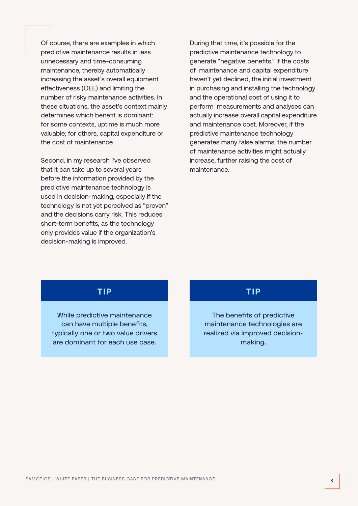Of course, there are examples in which predictive maintenance results in less unnecessary and time-consuming maintenance, thereby automatically increasing the asset's overall equipment effectiveness (OEE) and limiting the number of risky maintenance activities. In these situations, the asset's context mainly determines which benefit is dominant: for some contexts, uptime is much more valuable; for others, capital expenditure or the cost of maintenance.

Second, in my research I've observed that it can take up to several years before the information provided by the predictive maintenance technology is used in decision-making, especially if the technology is not yet perceived as "proven" and the decisions carry risk. This reduces short-term benefits, as the technology only provides value if the organization's decision-making is improved.

During that time, it's possible for the predictive maintenance technology to generate "negative benefits." If the costs of maintenance and capital expenditure haven't yet declined, the initial investment in purchasing and installing the technology and the operational cost of using it to perform measurements and analyses can actually increase overall capital expenditure and maintenance cost. Moreover, if the predictive maintenance technology generates many false alarms, the number of maintenance activities might actually increase, further raising the cost of maintenance.

#### **TIP**

While predictive maintenance can have multiple benefits, typically one or two value drivers are dominant for each use case.

### **TIP**

The benefits of predictive maintenance technologies are realized via improved decisionmaking.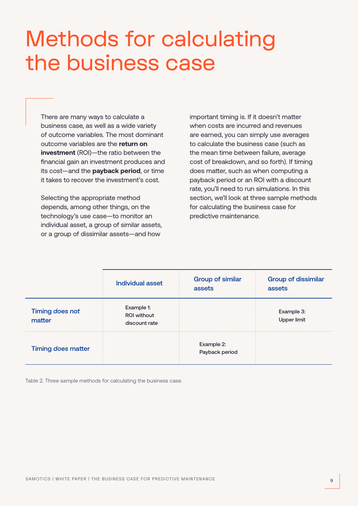# Methods for calculating the business case

There are many ways to calculate a business case, as well as a wide variety of outcome variables. The most dominant outcome variables are the **return on investment** (ROI)—the ratio between the financial gain an investment produces and its cost—and the **payback period**, or time it takes to recover the investment's cost.

Selecting the appropriate method depends, among other things, on the technology's use case—to monitor an individual asset, a group of similar assets, or a group of dissimilar assets—and how

important timing is. If it doesn't matter when costs are incurred and revenues are earned, you can simply use averages to calculate the business case (such as the mean time between failure, average cost of breakdown, and so forth). If timing does matter, such as when computing a payback period or an ROI with a discount rate, you'll need to run simulations. In this section, we'll look at three sample methods for calculating the business case for predictive maintenance.

|                                  | <b>Individual asset</b>                           | <b>Group of similar</b><br>assets | <b>Group of dissimilar</b><br>assets |
|----------------------------------|---------------------------------------------------|-----------------------------------|--------------------------------------|
| <b>Timing does not</b><br>matter | Example 1:<br><b>ROI</b> without<br>discount rate |                                   | Example 3:<br>Upper limit            |
| <b>Timing does matter</b>        |                                                   | Example 2:<br>Payback period      |                                      |

Table 2. Three sample methods for calculating the business case.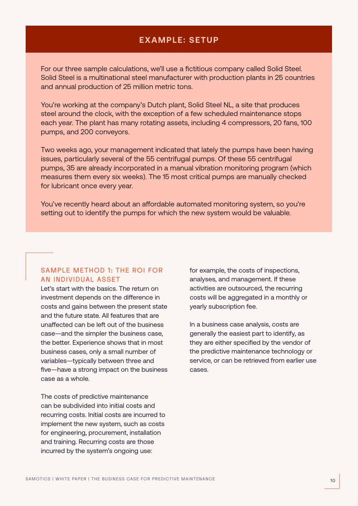### **EXAMPLE: SETUP**

For our three sample calculations, we'll use a fictitious company called Solid Steel. Solid Steel is a multinational steel manufacturer with production plants in 25 countries and annual production of 25 million metric tons.

You're working at the company's Dutch plant, Solid Steel NL, a site that produces steel around the clock, with the exception of a few scheduled maintenance stops each year. The plant has many rotating assets, including 4 compressors, 20 fans, 100 pumps, and 200 conveyors.

Two weeks ago, your management indicated that lately the pumps have been having issues, particularly several of the 55 centrifugal pumps. Of these 55 centrifugal pumps, 35 are already incorporated in a manual vibration monitoring program (which measures them every six weeks). The 15 most critical pumps are manually checked for lubricant once every year.

You've recently heard about an affordable automated monitoring system, so you're setting out to identify the pumps for which the new system would be valuable.

#### SAMPLE METHOD 1: THE ROI FOR AN INDIVIDUAL ASSET

Let's start with the basics. The return on investment depends on the difference in costs and gains between the present state and the future state. All features that are unaffected can be left out of the business case—and the simpler the business case, the better. Experience shows that in most business cases, only a small number of variables—typically between three and five—have a strong impact on the business case as a whole.

The costs of predictive maintenance can be subdivided into initial costs and recurring costs. Initial costs are incurred to implement the new system, such as costs for engineering, procurement, installation and training. Recurring costs are those incurred by the system's ongoing use:

for example, the costs of inspections, analyses, and management. If these activities are outsourced, the recurring costs will be aggregated in a monthly or yearly subscription fee.

In a business case analysis, costs are generally the easiest part to identify, as they are either specified by the vendor of the predictive maintenance technology or service, or can be retrieved from earlier use cases.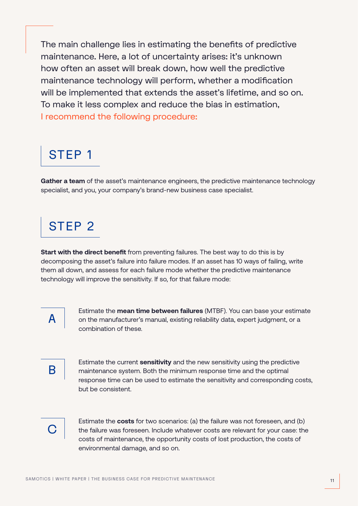The main challenge lies in estimating the benefits of predictive maintenance. Here, a lot of uncertainty arises: it's unknown how often an asset will break down, how well the predictive maintenance technology will perform, whether a modification will be implemented that extends the asset's lifetime, and so on. To make it less complex and reduce the bias in estimation, I recommend the following procedure:

# STEP 1

**Gather a team** of the asset's maintenance engineers, the predictive maintenance technology specialist, and you, your company's brand-new business case specialist.

## STEP 2

**Start with the direct benefit** from preventing failures. The best way to do this is by decomposing the asset's failure into failure modes. If an asset has 10 ways of failing, write them all down, and assess for each failure mode whether the predictive maintenance technology will improve the sensitivity. If so, for that failure mode:



Estimate the **mean time between failures** (MTBF). You can base your estimate on the manufacturer's manual, existing reliability data, expert judgment, or a combination of these.

Estimate the current **sensitivity** and the new sensitivity using the predictive maintenance system. Both the minimum response time and the optimal response time can be used to estimate the sensitivity and corresponding costs, but be consistent.



Estimate the **costs** for two scenarios: (a) the failure was not foreseen, and (b) the failure was foreseen. Include whatever costs are relevant for your case: the costs of maintenance, the opportunity costs of lost production, the costs of environmental damage, and so on.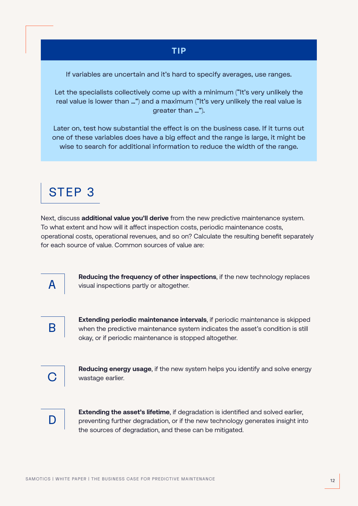## **TIP**

If variables are uncertain and it's hard to specify averages, use ranges.

Let the specialists collectively come up with a minimum ("It's very unlikely the real value is lower than …") and a maximum ("It's very unlikely the real value is greater than …").

Later on, test how substantial the effect is on the business case. If it turns out one of these variables does have a big effect and the range is large, it might be wise to search for additional information to reduce the width of the range.

# STEP 3

Next, discuss **additional value you'll derive** from the new predictive maintenance system. To what extent and how will it affect inspection costs, periodic maintenance costs, operational costs, operational revenues, and so on? Calculate the resulting benefit separately for each source of value. Common sources of value are:

> **Reducing the frequency of other inspections**, if the new technology replaces visual inspections partly or altogether.

B

A

**Extending periodic maintenance intervals**, if periodic maintenance is skipped when the predictive maintenance system indicates the asset's condition is still okay, or if periodic maintenance is stopped altogether.

C

**Reducing energy usage**, if the new system helps you identify and solve energy wastage earlier.

D

**Extending the asset's lifetime**, if degradation is identified and solved earlier, preventing further degradation, or if the new technology generates insight into the sources of degradation, and these can be mitigated.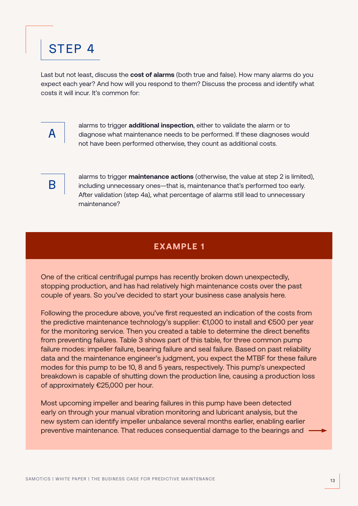## STEP 4

Last but not least, discuss the **cost of alarms** (both true and false). How many alarms do you expect each year? And how will you respond to them? Discuss the process and identify what costs it will incur. It's common for:



alarms to trigger **additional inspection**, either to validate the alarm or to diagnose what maintenance needs to be performed. If these diagnoses would not have been performed otherwise, they count as additional costs.



alarms to trigger **maintenance actions** (otherwise, the value at step 2 is limited), including unnecessary ones—that is, maintenance that's performed too early. After validation (step 4a), what percentage of alarms still lead to unnecessary maintenance?

### **EXAMPLE 1**

One of the critical centrifugal pumps has recently broken down unexpectedly, stopping production, and has had relatively high maintenance costs over the past couple of years. So you've decided to start your business case analysis here.

Following the procedure above, you've first requested an indication of the costs from the predictive maintenance technology's supplier: €1,000 to install and €500 per year for the monitoring service. Then you created a table to determine the direct benefits from preventing failures. Table 3 shows part of this table, for three common pump failure modes: impeller failure, bearing failure and seal failure. Based on past reliability data and the maintenance engineer's judgment, you expect the MTBF for these failure modes for this pump to be 10, 8 and 5 years, respectively. This pump's unexpected breakdown is capable of shutting down the production line, causing a production loss of approximately €25,000 per hour.

Most upcoming impeller and bearing failures in this pump have been detected early on through your manual vibration monitoring and lubricant analysis, but the new system can identify impeller unbalance several months earlier, enabling earlier preventive maintenance. That reduces consequential damage to the bearings and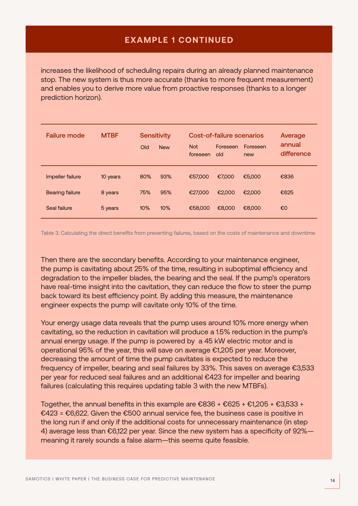increases the likelihood of scheduling repairs during an already planned maintenance stop. The new system is thus more accurate (thanks to more frequent measurement) and enables you to derive more value from proactive responses (thanks to a longer prediction horizon).

| <b>Failure mode</b> | <b>MTBF</b> | Old | <b>Sensitivity</b><br><b>New</b> | <b>Not</b><br>foreseen | Cost-of-failure scenarios<br>Foreseen<br>old | Foreseen<br>new | Average<br>annual<br>difference |
|---------------------|-------------|-----|----------------------------------|------------------------|----------------------------------------------|-----------------|---------------------------------|
| Impeller failure    | 10 years    | 80% | 93%                              | €57,000                | €7,000                                       | €5,000          | €836                            |
| Bearing failure     | 8 years     | 75% | 95%                              | €27,000                | €2,000                                       | €2,000          | €625                            |
| Seal failure        | 5 years     | 10% | 10%                              | €58,000                | €8,000                                       | €8,000          | €O                              |

Table 3. Calculating the direct benefits from preventing failures, based on the costs of maintenance and downtime.

Then there are the secondary benefits. According to your maintenance engineer, the pump is cavitating about 25% of the time, resulting in suboptimal efficiency and degradation to the impeller blades, the bearing and the seal. If the pump's operators have real-time insight into the cavitation, they can reduce the flow to steer the pump back toward its best efficiency point. By adding this measure, the maintenance engineer expects the pump will cavitate only 10% of the time.

Your energy usage data reveals that the pump uses around 10% more energy when cavitating, so the reduction in cavitation will produce a 1.5% reduction in the pump's annual energy usage. If the pump is powered by a 45 kW electric motor and is operational 95% of the year, this will save on average €1,205 per year. Moreover, decreasing the amount of time the pump cavitates is expected to reduce the frequency of impeller, bearing and seal failures by 33%. This saves on average €3,533 per year for reduced seal failures and an additional €423 for impeller and bearing failures (calculating this requires updating table 3 with the new MTBFs).

Together, the annual benefits in this example are  $\epsilon$ 836 +  $\epsilon$ 625 +  $\epsilon$ 1,205 +  $\epsilon$ 3,533 + €423 = €6,622. Given the €500 annual service fee, the business case is positive in the long run if and only if the additional costs for unnecessary maintenance (in step 4) average less than €6,122 per year. Since the new system has a specificity of 92% meaning it rarely sounds a false alarm—this seems quite feasible.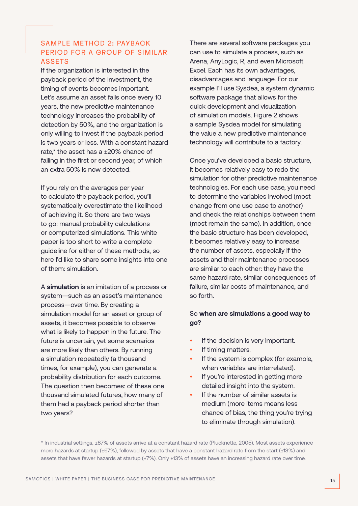#### SAMPLE METHOD 2: PAYBACK PERIOD FOR A GROUP OF SIMILAR ASSETS

If the organization is interested in the payback period of the investment, the timing of events becomes important. Let's assume an asset fails once every 10 years, the new predictive maintenance technology increases the probability of detection by 50%, and the organization is only willing to invest if the payback period is two years or less. With a constant hazard rate,\* the asset has a ±20% chance of failing in the first or second year, of which an extra 50% is now detected.

If you rely on the averages per year to calculate the payback period, you'll systematically overestimate the likelihood of achieving it. So there are two ways to go: manual probability calculations or computerized simulations. This white paper is too short to write a complete guideline for either of these methods, so here I'd like to share some insights into one of them: simulation.

A **simulation** is an imitation of a process or system—such as an asset's maintenance process—over time. By creating a simulation model for an asset or group of assets, it becomes possible to observe what is likely to happen in the future. The future is uncertain, yet some scenarios are more likely than others. By running a simulation repeatedly (a thousand times, for example), you can generate a probability distribution for each outcome. The question then becomes: of these one thousand simulated futures, how many of them had a payback period shorter than two years?

There are several software packages you can use to simulate a process, such as Arena, AnyLogic, R, and even Microsoft Excel. Each has its own advantages, disadvantages and language. For our example I'll use Sysdea, a system dynamic software package that allows for the quick development and visualization of simulation models. Figure 2 shows a sample Sysdea model for simulating the value a new predictive maintenance technology will contribute to a factory.

Once you've developed a basic structure, it becomes relatively easy to redo the simulation for other predictive maintenance technologies. For each use case, you need to determine the variables involved (most change from one use case to another) and check the relationships between them (most remain the same). In addition, once the basic structure has been developed, it becomes relatively easy to increase the number of assets, especially if the assets and their maintenance processes are similar to each other: they have the same hazard rate, similar consequences of failure, similar costs of maintenance, and so forth.

#### So **when are simulations a good way to go?**

- If the decision is very important.
- If timing matters.
- If the system is complex (for example, when variables are interrelated).
- If you're interested in getting more detailed insight into the system.
- If the number of similar assets is medium (more items means less chance of bias, the thing you're trying to eliminate through simulation).

\* In industrial settings, ±87% of assets arrive at a constant hazard rate (Plucknette, 2005). Most assets experience more hazards at startup (±67%), followed by assets that have a constant hazard rate from the start (±13%) and assets that have fewer hazards at startup (±7%). Only ±13% of assets have an increasing hazard rate over time.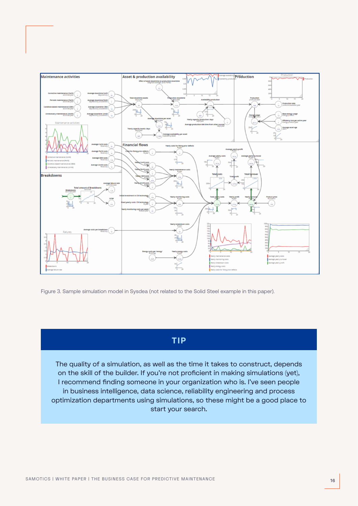

Figure 3. Sample simulation model in Sysdea (not related to the Solid Steel example in this paper).

### **TIP**

The quality of a simulation, as well as the time it takes to construct, depends on the skill of the builder. If you're not proficient in making simulations (yet), I recommend finding someone in your organization who is. I've seen people in business intelligence, data science, reliability engineering and process optimization departments using simulations, so these might be a good place to start your search.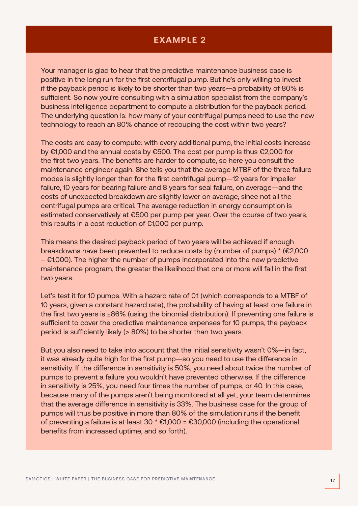### **EXAMPLE 2**

Your manager is glad to hear that the predictive maintenance business case is positive in the long run for the first centrifugal pump. But he's only willing to invest if the payback period is likely to be shorter than two years—a probability of 80% is sufficient. So now you're consulting with a simulation specialist from the company's business intelligence department to compute a distribution for the payback period. The underlying question is: how many of your centrifugal pumps need to use the new technology to reach an 80% chance of recouping the cost within two years?

The costs are easy to compute: with every additional pump, the initial costs increase by €1,000 and the annual costs by €500. The cost per pump is thus €2,000 for the first two years. The benefits are harder to compute, so here you consult the maintenance engineer again. She tells you that the average MTBF of the three failure modes is slightly longer than for the first centrifugal pump—12 years for impeller failure, 10 years for bearing failure and 8 years for seal failure, on average—and the costs of unexpected breakdown are slightly lower on average, since not all the centrifugal pumps are critical. The average reduction in energy consumption is estimated conservatively at €500 per pump per year. Over the course of two years, this results in a cost reduction of €1,000 per pump.

This means the desired payback period of two years will be achieved if enough breakdowns have been prevented to reduce costs by (number of pumps) \* (€2,000  $\epsilon$ 1,000). The higher the number of pumps incorporated into the new predictive maintenance program, the greater the likelihood that one or more will fail in the first two years.

Let's test it for 10 pumps. With a hazard rate of 0.1 (which corresponds to a MTBF of 10 years, given a constant hazard rate), the probability of having at least one failure in the first two years is ±86% (using the binomial distribution). If preventing one failure is sufficient to cover the predictive maintenance expenses for 10 pumps, the payback period is sufficiently likely (> 80%) to be shorter than two years.

But you also need to take into account that the initial sensitivity wasn't 0%—in fact, it was already quite high for the first pump—so you need to use the difference in sensitivity. If the difference in sensitivity is 50%, you need about twice the number of pumps to prevent a failure you wouldn't have prevented otherwise. If the difference in sensitivity is 25%, you need four times the number of pumps, or 40. In this case, because many of the pumps aren't being monitored at all yet, your team determines that the average difference in sensitivity is 33%. The business case for the group of pumps will thus be positive in more than 80% of the simulation runs if the benefit of preventing a failure is at least 30  $*$  €1,000 = €30,000 (including the operational benefits from increased uptime, and so forth).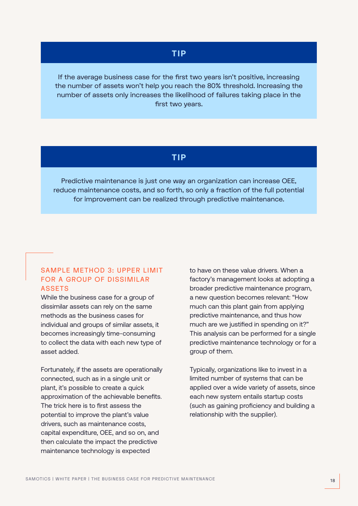## **TIP**

If the average business case for the first two years isn't positive, increasing the number of assets won't help you reach the 80% threshold. Increasing the number of assets only increases the likelihood of failures taking place in the first two years.

#### **TIP**

Predictive maintenance is just one way an organization can increase OEE, reduce maintenance costs, and so forth, so only a fraction of the full potential for improvement can be realized through predictive maintenance.

#### SAMPLE METHOD 3: UPPER LIMIT FOR A GROUP OF DISSIMILAR **ASSETS**

While the business case for a group of dissimilar assets can rely on the same methods as the business cases for individual and groups of similar assets, it becomes increasingly time-consuming to collect the data with each new type of asset added.

Fortunately, if the assets are operationally connected, such as in a single unit or plant, it's possible to create a quick approximation of the achievable benefits. The trick here is to first assess the potential to improve the plant's value drivers, such as maintenance costs, capital expenditure, OEE, and so on, and then calculate the impact the predictive maintenance technology is expected

to have on these value drivers. When a factory's management looks at adopting a broader predictive maintenance program, a new question becomes relevant: "How much can this plant gain from applying predictive maintenance, and thus how much are we justified in spending on it?" This analysis can be performed for a single predictive maintenance technology or for a group of them.

Typically, organizations like to invest in a limited number of systems that can be applied over a wide variety of assets, since each new system entails startup costs (such as gaining proficiency and building a relationship with the supplier).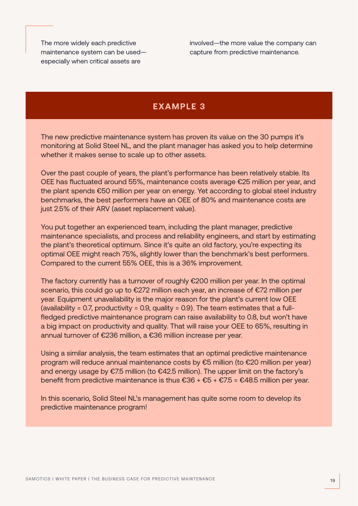The more widely each predictive maintenance system can be used especially when critical assets are

involved—the more value the company can capture from predictive maintenance.

### **EXAMPLE 3**

The new predictive maintenance system has proven its value on the 30 pumps it's monitoring at Solid Steel NL, and the plant manager has asked you to help determine whether it makes sense to scale up to other assets.

Over the past couple of years, the plant's performance has been relatively stable. Its OEE has fluctuated around 55%, maintenance costs average €25 million per year, and the plant spends €50 million per year on energy. Yet according to global steel industry benchmarks, the best performers have an OEE of 80% and maintenance costs are just 2.5% of their ARV (asset replacement value).

You put together an experienced team, including the plant manager, predictive maintenance specialists, and process and reliability engineers, and start by estimating the plant's theoretical optimum. Since it's quite an old factory, you're expecting its optimal OEE might reach 75%, slightly lower than the benchmark's best performers. Compared to the current 55% OEE, this is a 36% improvement.

The factory currently has a turnover of roughly €200 million per year. In the optimal scenario, this could go up to €272 million each year, an increase of €72 million per year. Equipment unavailability is the major reason for the plant's current low OEE (availability = 0.7, productivity = 0.9, quality = 0.9). The team estimates that a fullfledged predictive maintenance program can raise availability to 0.8, but won't have a big impact on productivity and quality. That will raise your OEE to 65%, resulting in annual turnover of €236 million, a €36 million increase per year.

Using a similar analysis, the team estimates that an optimal predictive maintenance program will reduce annual maintenance costs by €5 million (to €20 million per year) and energy usage by €7.5 million (to €42.5 million). The upper limit on the factory's benefit from predictive maintenance is thus  $\epsilon$ 36 +  $\epsilon$ 5 +  $\epsilon$ 7.5 =  $\epsilon$ 48.5 million per year.

In this scenario, Solid Steel NL's management has quite some room to develop its predictive maintenance program!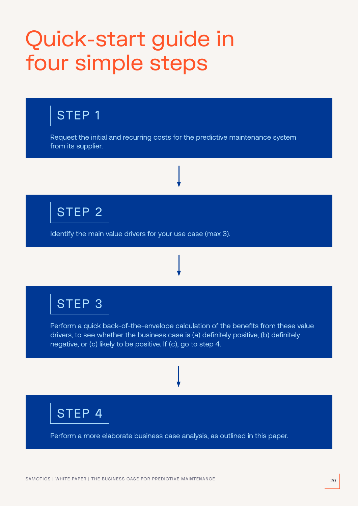# Quick-start guide in four simple steps

# STEP 1

Request the initial and recurring costs for the predictive maintenance system from its supplier.



Identify the main value drivers for your use case (max 3).

# STEP<sub>3</sub>

Perform a quick back-of-the-envelope calculation of the benefits from these value drivers, to see whether the business case is (a) definitely positive, (b) definitely negative, or (c) likely to be positive. If (c), go to step 4.



Perform a more elaborate business case analysis, as outlined in this paper.